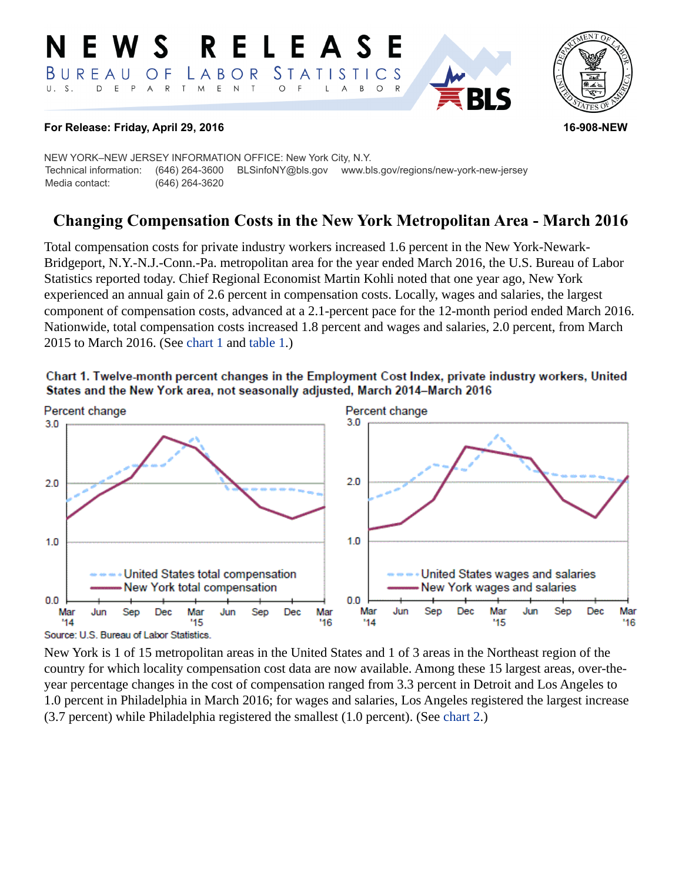#### **RELEASE** W S *STATISTICS* BUREAU LABOR O F  $E$  $\mathsf{D}$ E P  $\overline{A}$  ${\sf R}$  $\top$ M  $\mathsf{N}$  $\top$  $\circ$ B  $\circ$ A



## **For Release: Friday, April 29, 2016 16-908-NEW**

NEW YORK–NEW JERSEY INFORMATION OFFICE: New York City, N.Y. Technical information: (646) 264-3600 BLSinfoNY@bls.gov www.bls.gov/regions/new-york-new-jersey Media contact: (646) 264-3620

# **Changing Compensation Costs in the New York Metropolitan Area - March 2016**

Total compensation costs for private industry workers increased 1.6 percent in the New York-Newark-Bridgeport, N.Y.-N.J.-Conn.-Pa. metropolitan area for the year ended March 2016, the U.S. Bureau of Labor Statistics reported today. Chief Regional Economist Martin Kohli noted that one year ago, New York experienced an annual gain of 2.6 percent in compensation costs. Locally, wages and salaries, the largest component of compensation costs, advanced at a 2.1-percent pace for the 12-month period ended March 2016. Nationwide, total compensation costs increased 1.8 percent and wages and salaries, 2.0 percent, from March 2015 to March 2016. (See [chart 1](#page-0-0) and table 1.)

<span id="page-0-0"></span>



New York is 1 of 15 metropolitan areas in the United States and 1 of 3 areas in the Northeast region of the country for which locality compensation cost data are now available. Among these 15 largest areas, over-theyear percentage changes in the cost of compensation ranged from 3.3 percent in Detroit and Los Angeles to 1.0 percent in Philadelphia in March 2016; for wages and salaries, Los Angeles registered the largest increase (3.7 percent) while Philadelphia registered the smallest (1.0 percent). (See [chart 2](#page-1-0).)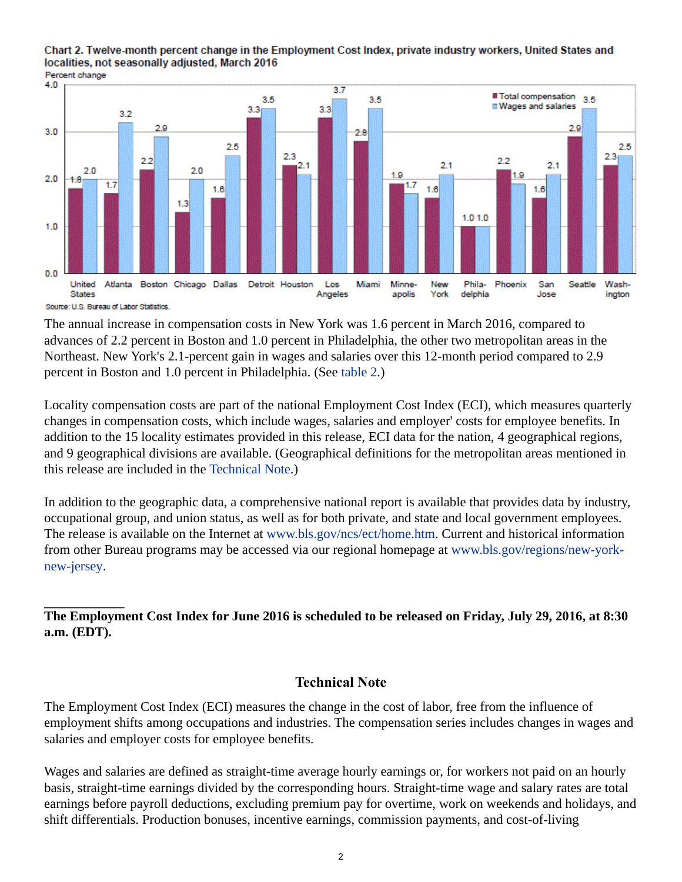<span id="page-1-0"></span>



Source: U.S. Bureau of Labor Statistics

The annual increase in compensation costs in New York was 1.6 percent in March 2016, compared to advances of 2.2 percent in Boston and 1.0 percent in Philadelphia, the other two metropolitan areas in the Northeast. New York's 2.1-percent gain in wages and salaries over this 12-month period compared to 2.9 percent in Boston and 1.0 percent in Philadelphia. (See table 2.)

Locality compensation costs are part of the national Employment Cost Index (ECI), which measures quarterly changes in compensation costs, which include wages, salaries and employer' costs for employee benefits. In addition to the 15 locality estimates provided in this release, ECI data for the nation, 4 geographical regions, and 9 geographical divisions are available. (Geographical definitions for the metropolitan areas mentioned in this release are included in the [Technical Note.](#page-1-1))

In addition to the geographic data, a comprehensive national report is available that provides data by industry, occupational group, and union status, as well as for both private, and state and local government employees. The release is available on the Internet at [www.bls.gov/ncs/ect/home.htm.](https://www.bls.gov/ncs/ect/home.htm) Current and historical information from other Bureau programs may be accessed via our regional homepage at [www.bls.gov/regions/new-york](https://www.bls.gov/regions/new-york-new-jersey)[new-jersey](https://www.bls.gov/regions/new-york-new-jersey).

**The Employment Cost Index for June 2016 is scheduled to be released on Friday, July 29, 2016, at 8:30 a.m. (EDT).**

## **Technical Note**

<span id="page-1-1"></span>The Employment Cost Index (ECI) measures the change in the cost of labor, free from the influence of employment shifts among occupations and industries. The compensation series includes changes in wages and salaries and employer costs for employee benefits.

Wages and salaries are defined as straight-time average hourly earnings or, for workers not paid on an hourly basis, straight-time earnings divided by the corresponding hours. Straight-time wage and salary rates are total earnings before payroll deductions, excluding premium pay for overtime, work on weekends and holidays, and shift differentials. Production bonuses, incentive earnings, commission payments, and cost-of-living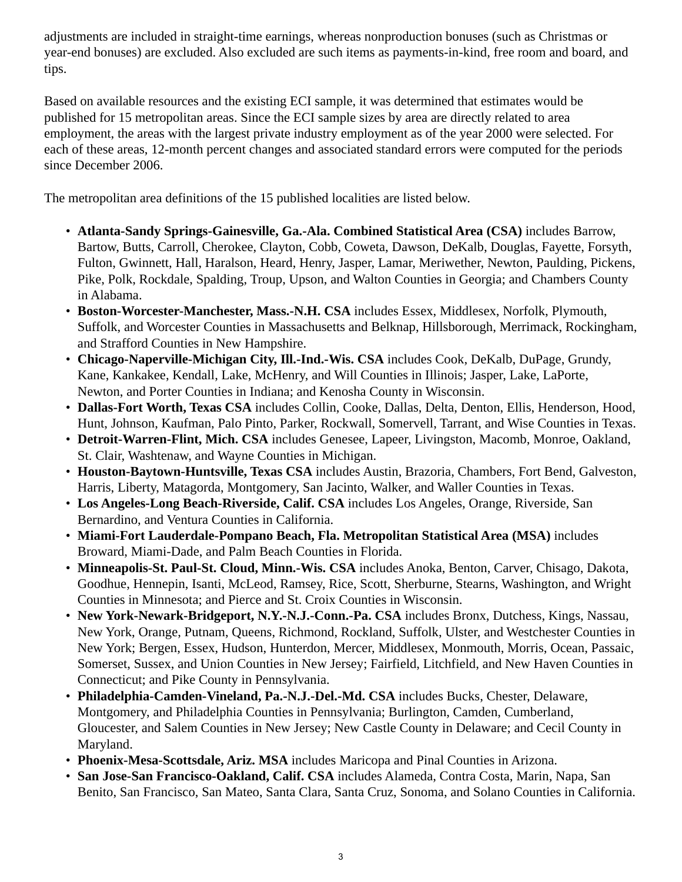adjustments are included in straight-time earnings, whereas nonproduction bonuses (such as Christmas or year-end bonuses) are excluded. Also excluded are such items as payments-in-kind, free room and board, and tips.

Based on available resources and the existing ECI sample, it was determined that estimates would be published for 15 metropolitan areas. Since the ECI sample sizes by area are directly related to area employment, the areas with the largest private industry employment as of the year 2000 were selected. For each of these areas, 12-month percent changes and associated standard errors were computed for the periods since December 2006.

The metropolitan area definitions of the 15 published localities are listed below.

- **Atlanta-Sandy Springs-Gainesville, Ga.-Ala. Combined Statistical Area (CSA)** includes Barrow, Bartow, Butts, Carroll, Cherokee, Clayton, Cobb, Coweta, Dawson, DeKalb, Douglas, Fayette, Forsyth, Fulton, Gwinnett, Hall, Haralson, Heard, Henry, Jasper, Lamar, Meriwether, Newton, Paulding, Pickens, Pike, Polk, Rockdale, Spalding, Troup, Upson, and Walton Counties in Georgia; and Chambers County in Alabama.
- **Boston-Worcester-Manchester, Mass.-N.H. CSA** includes Essex, Middlesex, Norfolk, Plymouth, Suffolk, and Worcester Counties in Massachusetts and Belknap, Hillsborough, Merrimack, Rockingham, and Strafford Counties in New Hampshire.
- **Chicago-Naperville-Michigan City, Ill.-Ind.-Wis. CSA** includes Cook, DeKalb, DuPage, Grundy, Kane, Kankakee, Kendall, Lake, McHenry, and Will Counties in Illinois; Jasper, Lake, LaPorte, Newton, and Porter Counties in Indiana; and Kenosha County in Wisconsin.
- **Dallas-Fort Worth, Texas CSA** includes Collin, Cooke, Dallas, Delta, Denton, Ellis, Henderson, Hood, Hunt, Johnson, Kaufman, Palo Pinto, Parker, Rockwall, Somervell, Tarrant, and Wise Counties in Texas.
- **Detroit-Warren-Flint, Mich. CSA** includes Genesee, Lapeer, Livingston, Macomb, Monroe, Oakland, St. Clair, Washtenaw, and Wayne Counties in Michigan.
- **Houston-Baytown-Huntsville, Texas CSA** includes Austin, Brazoria, Chambers, Fort Bend, Galveston, Harris, Liberty, Matagorda, Montgomery, San Jacinto, Walker, and Waller Counties in Texas.
- **Los Angeles-Long Beach-Riverside, Calif. CSA** includes Los Angeles, Orange, Riverside, San Bernardino, and Ventura Counties in California.
- **Miami-Fort Lauderdale-Pompano Beach, Fla. Metropolitan Statistical Area (MSA)** includes Broward, Miami-Dade, and Palm Beach Counties in Florida.
- **Minneapolis-St. Paul-St. Cloud, Minn.-Wis. CSA** includes Anoka, Benton, Carver, Chisago, Dakota, Goodhue, Hennepin, Isanti, McLeod, Ramsey, Rice, Scott, Sherburne, Stearns, Washington, and Wright Counties in Minnesota; and Pierce and St. Croix Counties in Wisconsin.
- **New York-Newark-Bridgeport, N.Y.-N.J.-Conn.-Pa. CSA** includes Bronx, Dutchess, Kings, Nassau, New York, Orange, Putnam, Queens, Richmond, Rockland, Suffolk, Ulster, and Westchester Counties in New York; Bergen, Essex, Hudson, Hunterdon, Mercer, Middlesex, Monmouth, Morris, Ocean, Passaic, Somerset, Sussex, and Union Counties in New Jersey; Fairfield, Litchfield, and New Haven Counties in Connecticut; and Pike County in Pennsylvania.
- **Philadelphia-Camden-Vineland, Pa.-N.J.-Del.-Md. CSA** includes Bucks, Chester, Delaware, Montgomery, and Philadelphia Counties in Pennsylvania; Burlington, Camden, Cumberland, Gloucester, and Salem Counties in New Jersey; New Castle County in Delaware; and Cecil County in Maryland.
- **Phoenix-Mesa-Scottsdale, Ariz. MSA** includes Maricopa and Pinal Counties in Arizona.
- **San Jose-San Francisco-Oakland, Calif. CSA** includes Alameda, Contra Costa, Marin, Napa, San Benito, San Francisco, San Mateo, Santa Clara, Santa Cruz, Sonoma, and Solano Counties in California.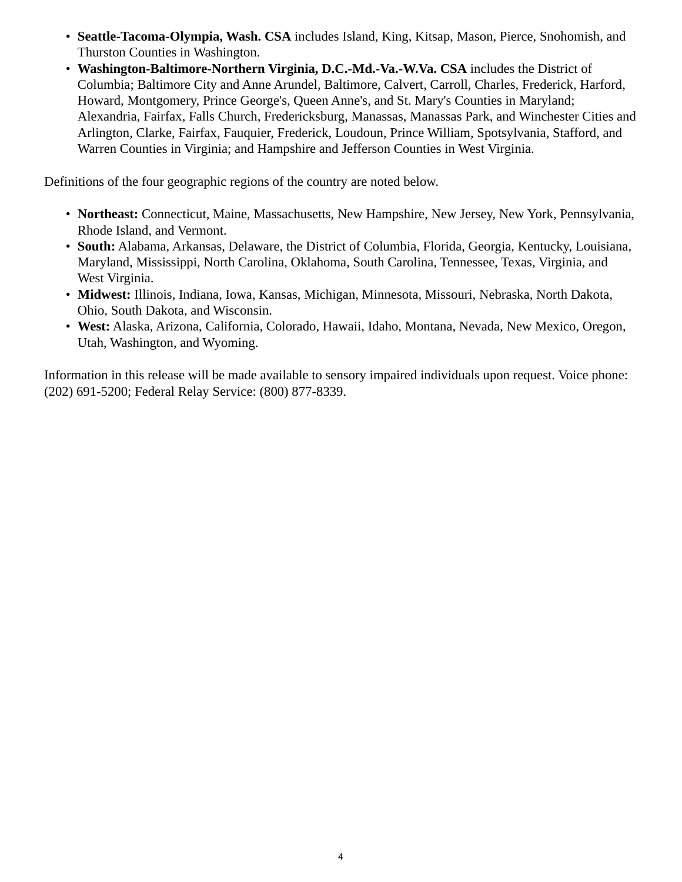- **Seattle-Tacoma-Olympia, Wash. CSA** includes Island, King, Kitsap, Mason, Pierce, Snohomish, and Thurston Counties in Washington.
- **Washington-Baltimore-Northern Virginia, D.C.-Md.-Va.-W.Va. CSA** includes the District of Columbia; Baltimore City and Anne Arundel, Baltimore, Calvert, Carroll, Charles, Frederick, Harford, Howard, Montgomery, Prince George's, Queen Anne's, and St. Mary's Counties in Maryland; Alexandria, Fairfax, Falls Church, Fredericksburg, Manassas, Manassas Park, and Winchester Cities and Arlington, Clarke, Fairfax, Fauquier, Frederick, Loudoun, Prince William, Spotsylvania, Stafford, and Warren Counties in Virginia; and Hampshire and Jefferson Counties in West Virginia.

Definitions of the four geographic regions of the country are noted below.

- **Northeast:** Connecticut, Maine, Massachusetts, New Hampshire, New Jersey, New York, Pennsylvania, Rhode Island, and Vermont.
- **South:** Alabama, Arkansas, Delaware, the District of Columbia, Florida, Georgia, Kentucky, Louisiana, Maryland, Mississippi, North Carolina, Oklahoma, South Carolina, Tennessee, Texas, Virginia, and West Virginia.
- **Midwest:** Illinois, Indiana, Iowa, Kansas, Michigan, Minnesota, Missouri, Nebraska, North Dakota, Ohio, South Dakota, and Wisconsin.
- **West:** Alaska, Arizona, California, Colorado, Hawaii, Idaho, Montana, Nevada, New Mexico, Oregon, Utah, Washington, and Wyoming.

Information in this release will be made available to sensory impaired individuals upon request. Voice phone: (202) 691-5200; Federal Relay Service: (800) 877-8339.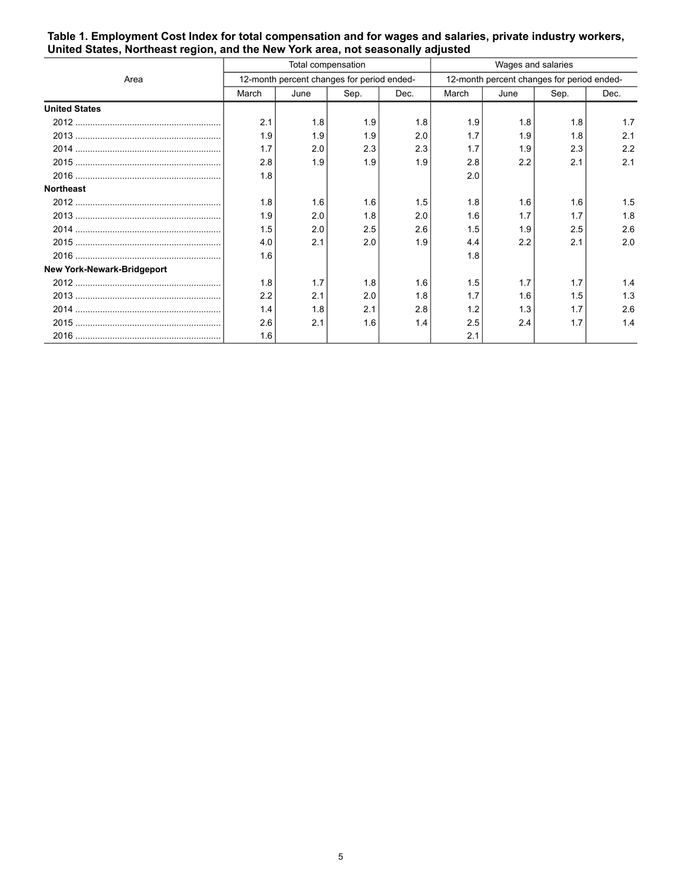|                                   | Total compensation                         |      |      |      | Wages and salaries                         |      |      |      |
|-----------------------------------|--------------------------------------------|------|------|------|--------------------------------------------|------|------|------|
| Area                              | 12-month percent changes for period ended- |      |      |      | 12-month percent changes for period ended- |      |      |      |
|                                   | March                                      | June | Sep. | Dec. | March                                      | June | Sep. | Dec. |
| <b>United States</b>              |                                            |      |      |      |                                            |      |      |      |
|                                   | 2.1                                        | 1.8  | 1.9  | 1.8  | 1.9                                        | 1.8  | 1.8  | 1.7  |
|                                   | 1.9                                        | 1.9  | 1.9  | 2.0  | 1.7                                        | 1.9  | 1.8  | 2.1  |
|                                   | 1.7                                        | 2.0  | 2.3  | 2.3  | 1.7                                        | 1.9  | 2.3  | 2.2  |
|                                   | 2.8                                        | 1.9  | 1.9  | 1.9  | 2.8                                        | 2.2  | 2.1  | 2.1  |
|                                   | 1.8                                        |      |      |      | 2.0                                        |      |      |      |
| <b>Northeast</b>                  |                                            |      |      |      |                                            |      |      |      |
|                                   | 1.8                                        | 1.6  | 1.6  | 1.5  | 1.8                                        | 1.6  | 1.6  | 1.5  |
|                                   | 1.9                                        | 2.0  | 1.8  | 2.0  | 1.6                                        | 1.7  | 1.7  | 1.8  |
|                                   | 1.5                                        | 2.0  | 2.5  | 2.6  | 1.5                                        | 1.9  | 2.5  | 2.6  |
|                                   | 4.0                                        | 2.1  | 2.0  | 1.9  | 4.4                                        | 2.2  | 2.1  | 2.0  |
|                                   | 1.6                                        |      |      |      | 1.8                                        |      |      |      |
| <b>New York-Newark-Bridgeport</b> |                                            |      |      |      |                                            |      |      |      |
|                                   | 1.8                                        | 1.7  | 1.8  | 1.6  | 1.5                                        | 1.7  | 1.7  | 1.4  |
|                                   | 2.2                                        | 2.1  | 2.0  | 1.8  | 1.7                                        | 1.6  | 1.5  | 1.3  |
|                                   | 1.4                                        | 1.8  | 2.1  | 2.8  | 1.2                                        | 1.3  | 1.7  | 2.6  |
|                                   | 2.6                                        | 2.1  | 1.6  | 1.4  | 2.5                                        | 2.4  | 1.7  | 1.4  |
|                                   | 1.6                                        |      |      |      | 2.1                                        |      |      |      |

### **Table 1. Employment Cost Index for total compensation and for wages and salaries, private industry workers, United States, Northeast region, and the New York area, not seasonally adjusted**